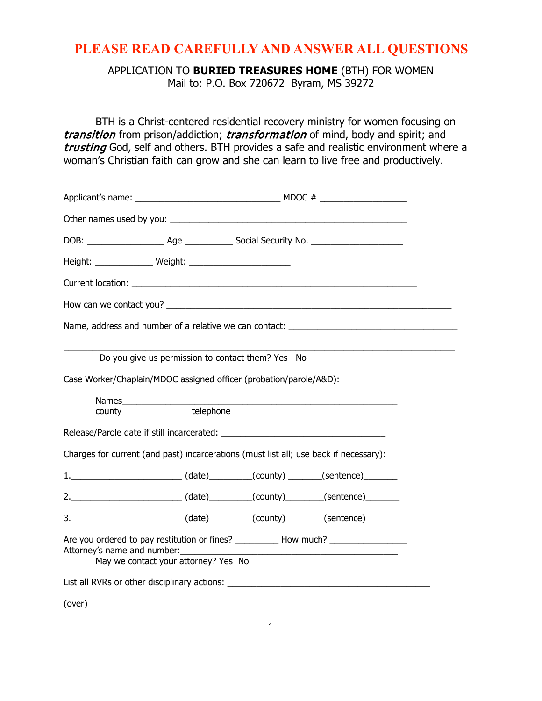## **PLEASE READ CAREFULLY AND ANSWER ALL QUESTIONS**

APPLICATION TO **BURIED TREASURES HOME** (BTH) FOR WOMEN Mail to: P.O. Box 720672 Byram, MS 39272

BTH is a Christ-centered residential recovery ministry for women focusing on transition from prison/addiction; transformation of mind, body and spirit; and trusting God, self and others. BTH provides a safe and realistic environment where a woman's Christian faith can grow and she can learn to live free and productively.

|                                                                                       |                                      |                                                   | Name, address and number of a relative we can contact: _________________________                     |  |
|---------------------------------------------------------------------------------------|--------------------------------------|---------------------------------------------------|------------------------------------------------------------------------------------------------------|--|
| Case Worker/Chaplain/MDOC assigned officer (probation/parole/A&D):                    |                                      | Do you give us permission to contact them? Yes No |                                                                                                      |  |
|                                                                                       |                                      |                                                   |                                                                                                      |  |
|                                                                                       |                                      |                                                   |                                                                                                      |  |
| Charges for current (and past) incarcerations (must list all; use back if necessary): |                                      |                                                   |                                                                                                      |  |
|                                                                                       |                                      |                                                   | 1. __________________________(date)_________(county) _______(sentence)_________                      |  |
|                                                                                       |                                      |                                                   | 2. __________________________(date) ________(county) _______(sentence) ________                      |  |
|                                                                                       |                                      |                                                   | 3. ___________________________(date) ________(county) ________(sentence) _______                     |  |
| Attorney's name and number:                                                           | May we contact your attorney? Yes No |                                                   | Are you ordered to pay restitution or fines? ______________How much? _______________________________ |  |
|                                                                                       |                                      |                                                   | List all RVRs or other disciplinary actions: ___________________________________                     |  |

(over)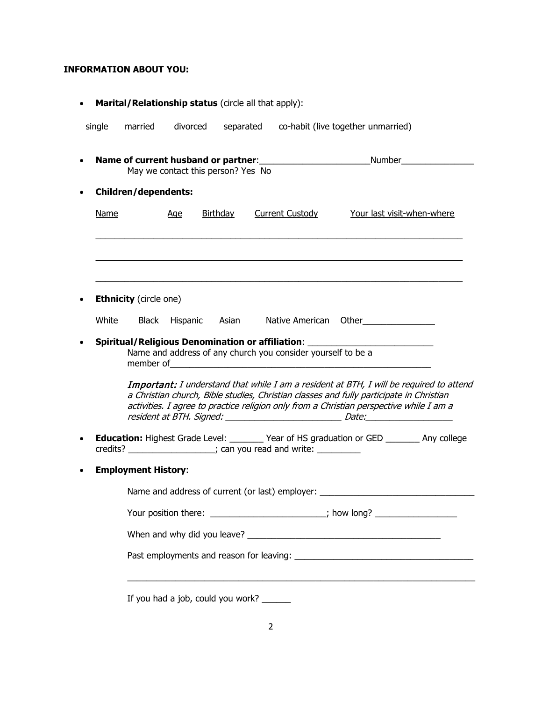## **INFORMATION ABOUT YOU:**

| single      | married                                       | divorced                           |                 |                                                                  | separated co-habit (live together unmarried)                                                                                                                                                                                                                                                                                                                                                                        |
|-------------|-----------------------------------------------|------------------------------------|-----------------|------------------------------------------------------------------|---------------------------------------------------------------------------------------------------------------------------------------------------------------------------------------------------------------------------------------------------------------------------------------------------------------------------------------------------------------------------------------------------------------------|
|             |                                               | May we contact this person? Yes No |                 |                                                                  | <b>Name of current husband or partner:</b> ______________________________Number______________                                                                                                                                                                                                                                                                                                                       |
|             | <b>Children/dependents:</b>                   |                                    |                 |                                                                  |                                                                                                                                                                                                                                                                                                                                                                                                                     |
| <b>Name</b> |                                               | <u>Age</u>                         | <b>Birthday</b> | <b>Current Custody</b>                                           | Your last visit-when-where                                                                                                                                                                                                                                                                                                                                                                                          |
|             |                                               |                                    |                 |                                                                  |                                                                                                                                                                                                                                                                                                                                                                                                                     |
| White       | <b>Ethnicity</b> (circle one)<br><b>Black</b> |                                    | Hispanic Asian  | Native American                                                  | Other <b>contract of the contract of the contract of the contract of the contract of the contract of the contract of the contract of the contract of the contract of the contract of the contract of the contract of the contrac</b>                                                                                                                                                                                |
|             |                                               |                                    |                 |                                                                  | Spiritual/Religious Denomination or affiliation: _______________________________                                                                                                                                                                                                                                                                                                                                    |
|             | member of                                     |                                    |                 | Name and address of any church you consider yourself to be a     | <u> 1980 - Jan Barbara, martxa al II-lea (h. 1980).</u><br>1900 - Antonio Santonio, frantziar frantziar eta biztanleria (h. 1900).<br>Important: I understand that while I am a resident at BTH, I will be required to attend<br>a Christian church, Bible studies, Christian classes and fully participate in Christian<br>activities. I agree to practice religion only from a Christian perspective while I am a |
|             |                                               |                                    |                 | credits? ___________________; can you read and write: __________ | <b>Education:</b> Highest Grade Level: ________ Year of HS graduation or GED ________ Any college                                                                                                                                                                                                                                                                                                                   |
|             | <b>Employment History:</b>                    |                                    |                 |                                                                  |                                                                                                                                                                                                                                                                                                                                                                                                                     |
|             |                                               |                                    |                 | Name and address of current (or last) employer: ________         |                                                                                                                                                                                                                                                                                                                                                                                                                     |
|             |                                               |                                    |                 |                                                                  | Your position there: ______________________; how long? _________________________                                                                                                                                                                                                                                                                                                                                    |
|             |                                               |                                    |                 |                                                                  |                                                                                                                                                                                                                                                                                                                                                                                                                     |
|             |                                               |                                    |                 |                                                                  |                                                                                                                                                                                                                                                                                                                                                                                                                     |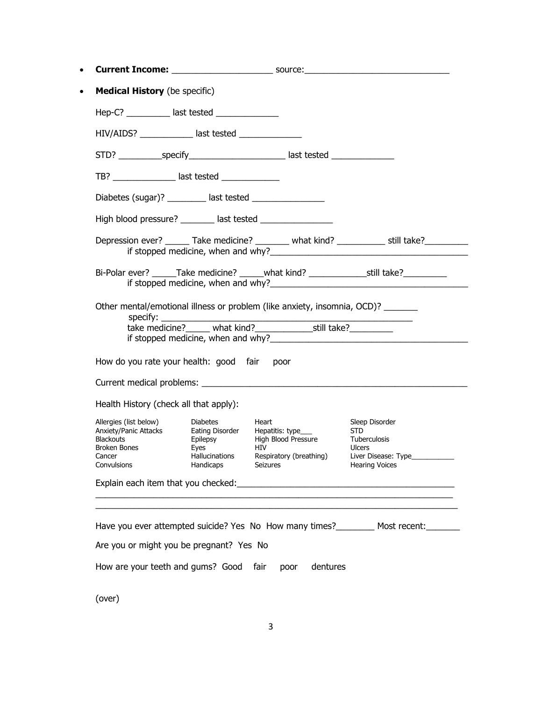| <b>Medical History</b> (be specific)                                                                         |                                                        |                                                                                                                                                         |                                                                                                                                                                                                                                                                              |
|--------------------------------------------------------------------------------------------------------------|--------------------------------------------------------|---------------------------------------------------------------------------------------------------------------------------------------------------------|------------------------------------------------------------------------------------------------------------------------------------------------------------------------------------------------------------------------------------------------------------------------------|
| Hep-C? ___________ last tested ______________                                                                |                                                        |                                                                                                                                                         |                                                                                                                                                                                                                                                                              |
| HIV/AIDS? _____________ last tested _____________                                                            |                                                        |                                                                                                                                                         |                                                                                                                                                                                                                                                                              |
|                                                                                                              |                                                        |                                                                                                                                                         |                                                                                                                                                                                                                                                                              |
| TB? _________________ last tested _______________                                                            |                                                        |                                                                                                                                                         |                                                                                                                                                                                                                                                                              |
|                                                                                                              |                                                        |                                                                                                                                                         |                                                                                                                                                                                                                                                                              |
|                                                                                                              |                                                        | High blood pressure? ________ last tested ________________                                                                                              |                                                                                                                                                                                                                                                                              |
|                                                                                                              |                                                        |                                                                                                                                                         | Depression ever? ______ Take medicine? _______ what kind? ___________ still take? _______                                                                                                                                                                                    |
|                                                                                                              |                                                        |                                                                                                                                                         | Bi-Polar ever? ______Take medicine? ______what kind? ____________________________                                                                                                                                                                                            |
| specify: $\frac{1}{2}$                                                                                       |                                                        | Other mental/emotional illness or problem (like anxiety, insomnia, OCD)? _______                                                                        |                                                                                                                                                                                                                                                                              |
| How do you rate your health: good fair poor                                                                  |                                                        |                                                                                                                                                         |                                                                                                                                                                                                                                                                              |
| Health History (check all that apply):                                                                       |                                                        |                                                                                                                                                         |                                                                                                                                                                                                                                                                              |
| Allergies (list below)<br>Anxiety/Panic Attacks<br><b>Blackouts</b><br>Broken Bones<br>Cancer<br>Convulsions | <b>Diabetes</b><br>Eyes<br>Hallucinations<br>Handicaps | Heart<br>Eating Disorder Hepatitis: type___<br>Epilepsy High Blood Pressure<br>High Blood Pressure<br><b>HIV</b><br>Respiratory (breathing)<br>Seizures | Sleep Disorder<br>STD<br>Tuberculosis<br><b>Ulcers</b><br><b>Hearing Voices</b>                                                                                                                                                                                              |
|                                                                                                              |                                                        |                                                                                                                                                         |                                                                                                                                                                                                                                                                              |
|                                                                                                              |                                                        |                                                                                                                                                         |                                                                                                                                                                                                                                                                              |
|                                                                                                              |                                                        |                                                                                                                                                         |                                                                                                                                                                                                                                                                              |
| Are you or might you be pregnant? Yes No                                                                     |                                                        |                                                                                                                                                         | Liver Disease: Type<br>Explain each item that you checked:<br><u> and the manual contract of the manual contract of the manual contract of the manual contract of the manual con</u><br>Have you ever attempted suicide? Yes No How many times?_________ Most recent:_______ |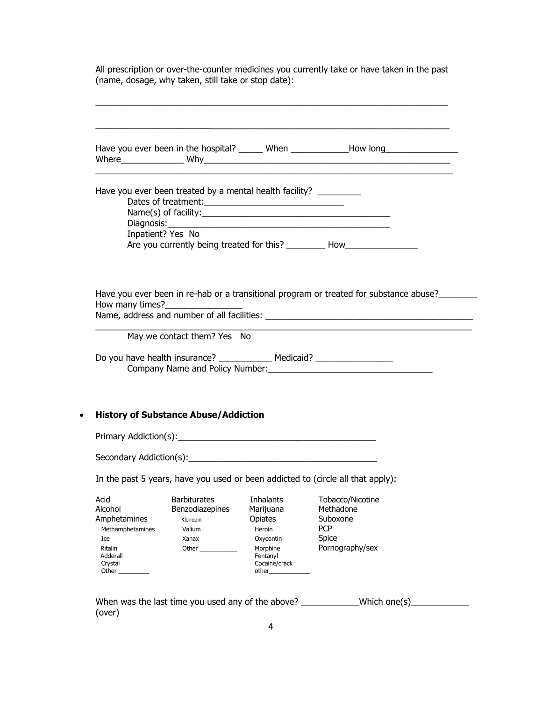All prescription or over-the-counter medicines you currently take or have taken in the past (name, dosage, why taken, still take or stop date):

 $\_$  , and the set of the set of the set of the set of the set of the set of the set of the set of the set of the set of the set of the set of the set of the set of the set of the set of the set of the set of the set of th

|                                     |                                                         |                           | Have you ever been in the hospital? ______ When ______________How long ________________      |  |
|-------------------------------------|---------------------------------------------------------|---------------------------|----------------------------------------------------------------------------------------------|--|
|                                     | Have you ever been treated by a mental health facility? |                           |                                                                                              |  |
|                                     |                                                         |                           |                                                                                              |  |
|                                     |                                                         |                           |                                                                                              |  |
|                                     |                                                         |                           |                                                                                              |  |
|                                     | Inpatient? Yes No                                       |                           |                                                                                              |  |
|                                     |                                                         |                           | Are you currently being treated for this? ___________ How_______________________             |  |
|                                     |                                                         |                           | Have you ever been in re-hab or a transitional program or treated for substance abuse?______ |  |
| How many times?                     |                                                         |                           |                                                                                              |  |
|                                     |                                                         |                           |                                                                                              |  |
|                                     |                                                         |                           |                                                                                              |  |
|                                     |                                                         |                           |                                                                                              |  |
|                                     | May we contact them? Yes No                             |                           |                                                                                              |  |
|                                     |                                                         |                           |                                                                                              |  |
|                                     |                                                         |                           | Company Name and Policy Number: 1997                                                         |  |
|                                     |                                                         |                           |                                                                                              |  |
|                                     |                                                         |                           |                                                                                              |  |
|                                     |                                                         |                           |                                                                                              |  |
|                                     | <b>History of Substance Abuse/Addiction</b>             |                           |                                                                                              |  |
|                                     |                                                         |                           |                                                                                              |  |
|                                     |                                                         |                           |                                                                                              |  |
|                                     |                                                         |                           |                                                                                              |  |
|                                     |                                                         |                           |                                                                                              |  |
|                                     |                                                         |                           |                                                                                              |  |
|                                     |                                                         |                           | In the past 5 years, have you used or been addicted to (circle all that apply):              |  |
| Acid                                | <b>Barbiturates</b>                                     | Inhalants                 | Tobacco/Nicotine                                                                             |  |
| Alcohol                             | Benzodiazepines                                         | Marijuana                 | Methadone                                                                                    |  |
|                                     | Klonopin                                                | Opiates                   | Suboxone                                                                                     |  |
| Methamphetamines                    | Valium                                                  | Heroin                    | <b>PCP</b>                                                                                   |  |
| Ice                                 | Xanax                                                   | Oxycontin                 | Spice                                                                                        |  |
| <b>Ritalin</b>                      | Other                                                   | Morphine                  | Pornography/sex                                                                              |  |
| Amphetamines<br>Adderall<br>Crystal |                                                         | Fentanyl<br>Cocaine/crack |                                                                                              |  |